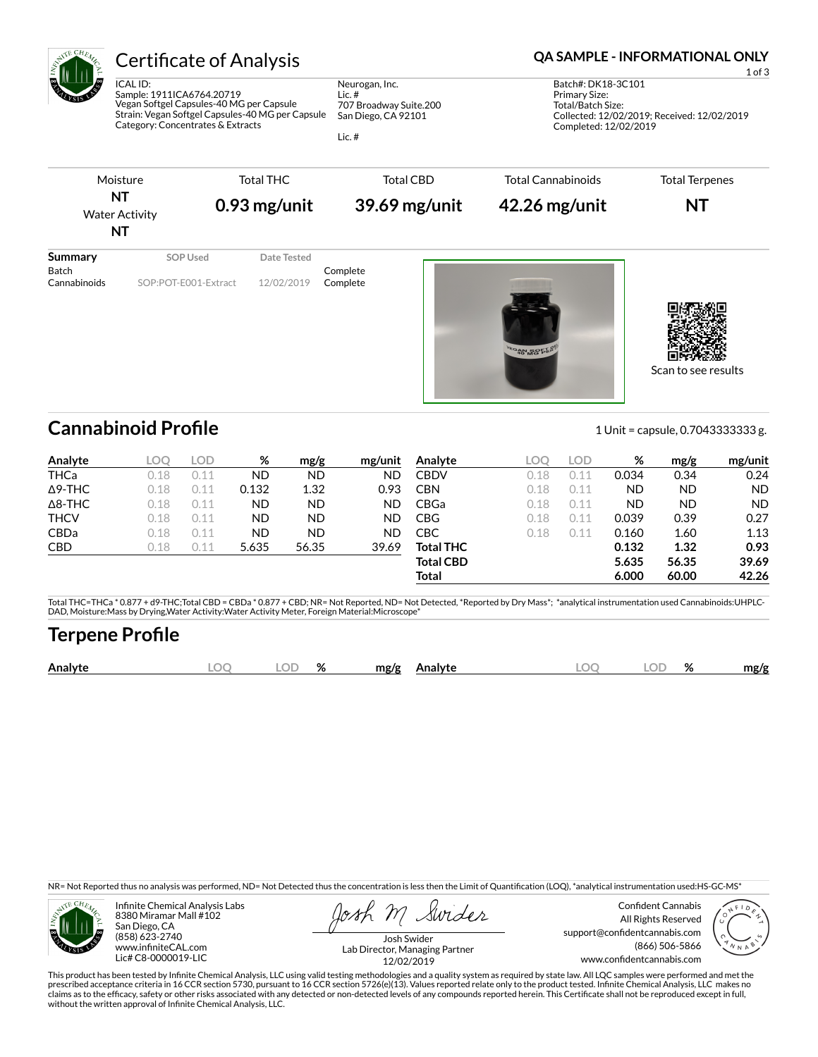

# Certificate of Analysis **Certificate of Analysis QA SAMPLE - INFORMATIONAL ONLY**

ICAL ID: Sample: 1911ICA6764.20719 Vegan Softgel Capsules-40 MG per Capsule Strain: Vegan Softgel Capsules-40 MG per Capsule Category: Concentrates & Extracts

Neurogan, Inc. Lic. # 707 Broadway Suite.200 San Diego, CA 92101

Lic. #

1 of 3 Batch#: DK18-3C101 Primary Size: Total/Batch Size: Collected: 12/02/2019; Received: 12/02/2019 Completed: 12/02/2019

Scan to see results



**Cannabinoid Profile** 2012 2013 1 Unit = capsule, 0.70433333333 g.

**Analyte LOQ LOD % mg/g mg/unit** THCa 0.18 0.11 ND ND ND Δ9-THC 0.18 0.11 0.132 1.32 0.93 Δ8-THC 0.18 0.11 ND ND ND THCV 0.18 0.11 ND ND ND CBDa 0.18 0.11 ND ND ND CBD 0.18 0.11 5.635 56.35 39.69 **Analyte LOQ LOD % mg/g mg/unit** CBDV 0.18 0.11 0.034 0.34 0.24 CBN 0.18 0.11 ND ND ND CBGa 0.18 0.11 ND ND ND CBG 0.18 0.11 0.039 0.39 0.27 CBC 0.18 0.11 0.160 1.60 1.13 **Total THC 0.132 1.32 0.93 Total CBD 5.635 56.35 39.69 Total 6.000 60.00 42.26**

Total THC=THCa \* 0.877 + d9-THC;Total CBD = CBDa \* 0.877 + CBD; NR= Not Reported, ND= Not Detected, \*Reported by Dry Mass\*; \*analytical instrumentation used Cannabinoids:UHPLC-DAD, Moisture:Mass by Drying,Water Activity:Water Activity Meter, Foreign Material:Microscope\*

## **Terpene Pro×le**

| Analy | OΓ | $\mathbf{a}$<br>70 | mø/s |  | λľ | 07<br>$70^{\circ}$ | .no/o |
|-------|----|--------------------|------|--|----|--------------------|-------|
|       |    |                    |      |  |    |                    |       |

NR= Not Reported thus no analysis was performed, ND= Not Detected thus the concentration is less then the Limit of Quantification (LOQ), \*analytical instrumentation used:HS-GC-MS\*



Infinite Chemical Analysis Labs 8380 Miramar Mall #102 San Diego, CA (858) 623-2740 www.infiniteCAL.com Lic# C8-0000019-LIC

Swides

Confident Cannabis All Rights Reserved support@confidentcannabis.com (866) 506-5866 www.confidentcannabis.com



Josh Swider Lab Director, Managing Partner 12/02/2019

This product has been tested by Infinite Chemical Analysis, LLC using valid testing methodologies and a quality system as required by state law. All LQC samples were performed and met the prescribed acceptance criteria in 16 CCR section 5730, pursuant to 16 CCR section 5726(e)(13). Values reported relate only to the product tested. Infinite Chemical Analysis, LLC makes no<br>claims as to the efficacy, safety o without the written approval of Infinite Chemical Analysis, LLC.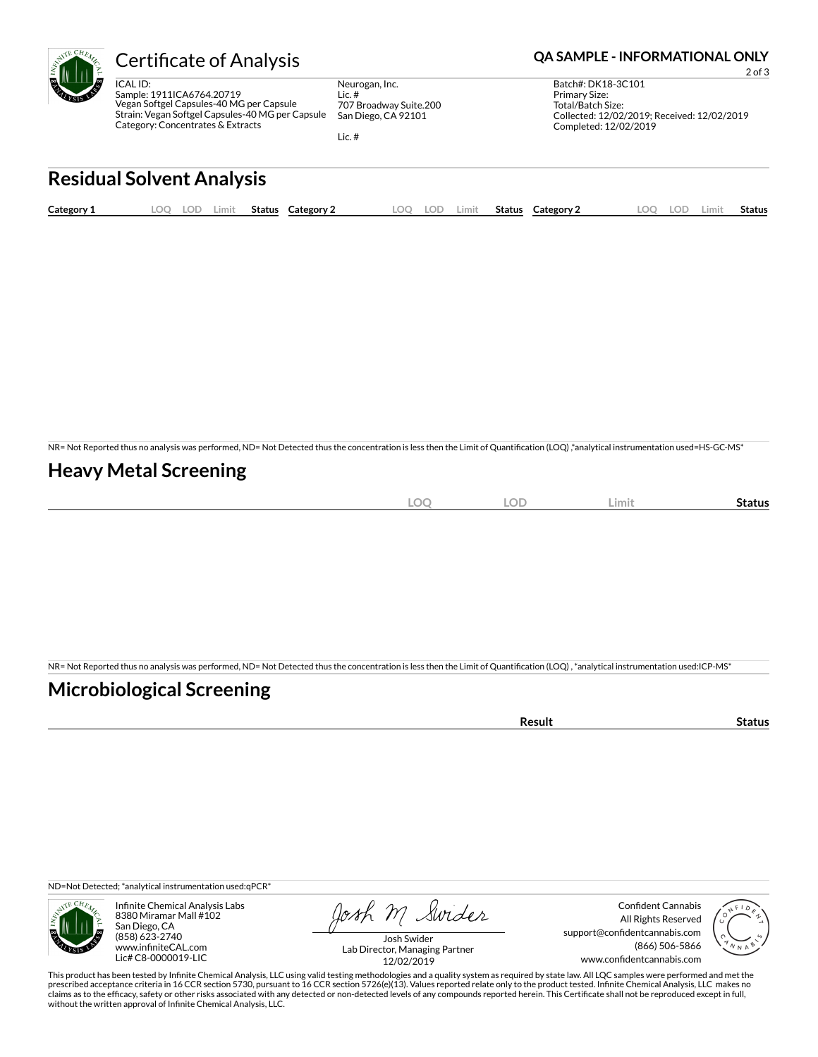

ICAL ID: Sample: 1911ICA6764.20719 Vegan Softgel Capsules-40 MG per Capsule Strain: Vegan Softgel Capsules-40 MG per Capsule Category: Concentrates & Extracts

Neurogan, Inc. Lic. # 707 Broadway Suite.200 San Diego, CA 92101

Lic. #

#### Certificate of Analysis **Certificate of Analysis QA SAMPLE - INFORMATIONAL ONLY**

2 of 3 Batch#: DK18-3C101 Primary Size: Total/Batch Size: Collected: 12/02/2019; Received: 12/02/2019 Completed: 12/02/2019

# **Residual Solvent Analysis**

| Category 1 | .00 | .OD | Limit - | <b>Status</b> | <b>Category 2</b> | ററ | .OD | Limit. | <b>Status</b> | Category 2 | <b>LOC</b> | LOP | ∟imi' | Status |
|------------|-----|-----|---------|---------------|-------------------|----|-----|--------|---------------|------------|------------|-----|-------|--------|
|            |     |     |         |               |                   |    |     |        |               |            |            |     |       |        |

NR= Not Reported thus no analysis was performed, ND= Not Detected thus the concentration is less then the Limit of Quantification (LOQ),\*analytical instrumentation used=HS-GC-MS\*

### **Heavy Metal Screening**

| $\sim$<br>∽ | $\sim$<br>$\sim$ | LOD | <b>Limi</b> | status |
|-------------|------------------|-----|-------------|--------|
|             |                  |     |             |        |

NR= Not Reported thus no analysis was performed, ND= Not Detected thus the concentration is less then the Limit of Quantification (LOQ), \*analytical instrumentation used:ICP-MS\*

### **Microbiological Screening**

| `≏sult |
|--------|
|--------|

ND=Not Detected; \*analytical instrumentation used:qPCR\*



Infinite Chemical Analysis Labs 8380 Miramar Mall #102 San Diego, CA (858) 623-2740 www.infiniteCAL.com Lic# C8-0000019-LIC

Josh M Swider

Confident Cannabis All Rights Reserved support@confidentcannabis.com (866) 506-5866 www.confidentcannabis.com



Josh Swider Lab Director, Managing Partner 12/02/2019

This product has been tested by Infinite Chemical Analysis, LLC using valid testing methodologies and a quality system as required by state law. All LQC samples were performed and met the prescribed acceptance criteria in 16 CCR section 5730, pursuant to 16 CCR section 5726(e)(13). Values reported relate only to the product tested. Infinite Chemical Analysis, LLC makes no<br>claims as to the efficacy, safety o without the written approval of Infinite Chemical Analysis, LLC.